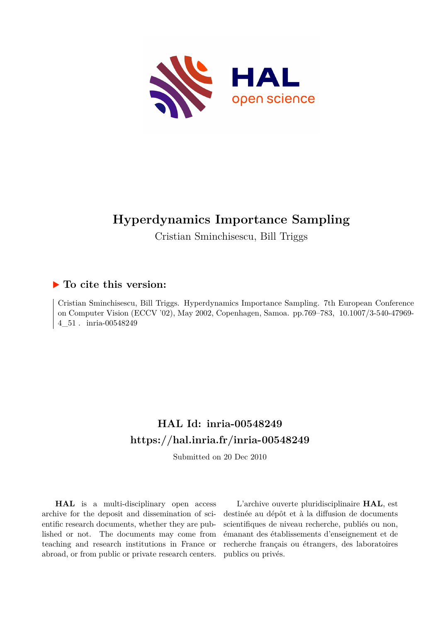

# **Hyperdynamics Importance Sampling**

Cristian Sminchisescu, Bill Triggs

# **To cite this version:**

Cristian Sminchisescu, Bill Triggs. Hyperdynamics Importance Sampling. 7th European Conference on Computer Vision (ECCV '02), May 2002, Copenhagen, Samoa. pp.769–783, 10.1007/3-540-47969-4 51. inria-00548249

# **HAL Id: inria-00548249 <https://hal.inria.fr/inria-00548249>**

Submitted on 20 Dec 2010

**HAL** is a multi-disciplinary open access archive for the deposit and dissemination of scientific research documents, whether they are published or not. The documents may come from teaching and research institutions in France or abroad, or from public or private research centers.

L'archive ouverte pluridisciplinaire **HAL**, est destinée au dépôt et à la diffusion de documents scientifiques de niveau recherche, publiés ou non, émanant des établissements d'enseignement et de recherche français ou étrangers, des laboratoires publics ou privés.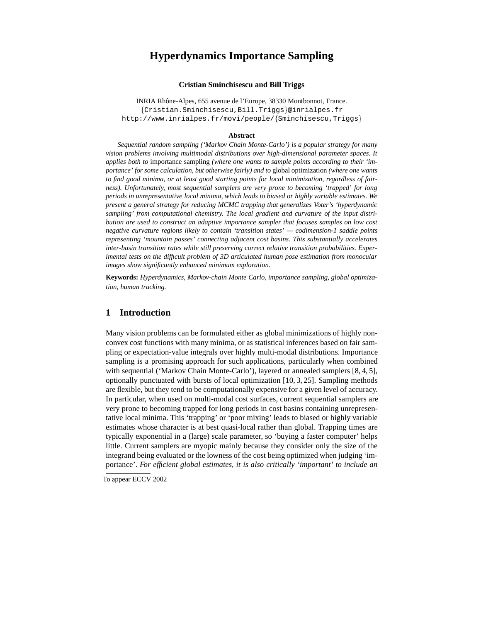# **Hyperdynamics Importance Sampling**

#### **Cristian Sminchisescu and Bill Triggs**

INRIA Rhˆone-Alpes, 655 avenue de l'Europe, 38330 Montbonnot, France. {Cristian.Sminchisescu,Bill.Triggs}@inrialpes.fr http://www.inrialpes.fr/movi/people/{Sminchisescu,Triggs}

#### **Abstract**

*Sequential random sampling ('Markov Chain Monte-Carlo') is a popular strategy for many vision problems involving multimodal distributions over high-dimensional parameter spaces. It applies both to* importance sampling *(where one wants to sample points according to their 'importance' for some calculation, but otherwise fairly) and to* global optimization *(where one wants to find good minima, or at least good starting points for local minimization, regardless of fairness). Unfortunately, most sequential samplers are very prone to becoming 'trapped' for long periods in unrepresentative local minima, which leads to biased or highly variable estimates. We present a general strategy for reducing MCMC trapping that generalizes Voter's 'hyperdynamic sampling' from computational chemistry. The local gradient and curvature of the input distribution are used to construct an adaptive importance sampler that focuses samples on low cost negative curvature regions likely to contain 'transition states' — codimension-1 saddle points representing 'mountain passes' connecting adjacent cost basins. This substantially accelerates inter-basin transition rates while still preserving correct relative transition probabilities. Experimental tests on the difficult problem of 3D articulated human pose estimation from monocular images show significantly enhanced minimum exploration.*

**Keywords:** *Hyperdynamics, Markov-chain Monte Carlo, importance sampling, global optimization, human tracking.*

# **1 Introduction**

Many vision problems can be formulated either as global minimizations of highly nonconvex cost functions with many minima, or as statistical inferences based on fair sampling or expectation-value integrals over highly multi-modal distributions. Importance sampling is a promising approach for such applications, particularly when combined with sequential ('Markov Chain Monte-Carlo'), layered or annealed samplers [8, 4, 5], optionally punctuated with bursts of local optimization [10, 3, 25]. Sampling methods are flexible, but they tend to be computationally expensive for a given level of accuracy. In particular, when used on multi-modal cost surfaces, current sequential samplers are very prone to becoming trapped for long periods in cost basins containing unrepresentative local minima. This 'trapping' or 'poor mixing' leads to biased or highly variable estimates whose character is at best quasi-local rather than global. Trapping times are typically exponential in a (large) scale parameter, so 'buying a faster computer' helps little. Current samplers are myopic mainly because they consider only the size of the integrand being evaluated or the lowness of the cost being optimized when judging 'importance'. *For efficient global estimates, it is also critically 'important' to include an*

To appear ECCV 2002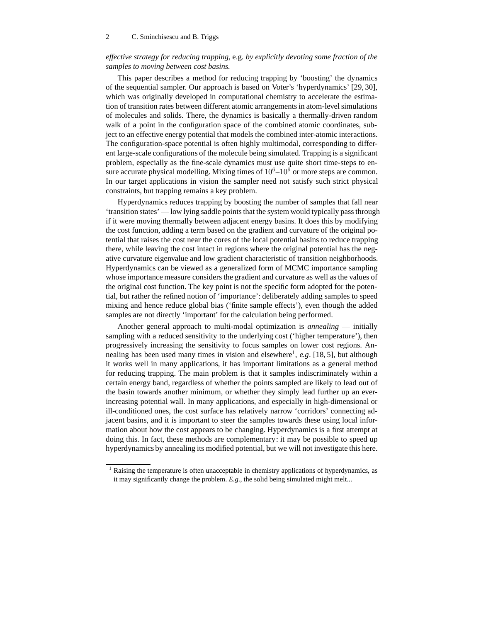### *effective strategy for reducing trapping,* e.g*. by explicitly devoting some fraction of the samples to moving between cost basins.*

This paper describes a method for reducing trapping by 'boosting' the dynamics of the sequential sampler. Our approach is based on Voter's 'hyperdynamics' [29, 30], which was originally developed in computational chemistry to accelerate the estimation of transition rates between different atomic arrangements in atom-level simulations of molecules and solids. There, the dynamics is basically a thermally-driven random walk of a point in the configuration space of the combined atomic coordinates, subject to an effective energy potential that models the combined inter-atomic interactions. The configuration-space potential is often highly multimodal, corresponding to different large-scale configurations of the molecule being simulated. Trapping is a significant problem, especially as the fine-scale dynamics must use quite short time-steps to ensure accurate physical modelling. Mixing times of  $10^6$ – $10^9$  or more steps are common. In our target applications in vision the sampler need not satisfy such strict physical constraints, but trapping remains a key problem.

Hyperdynamics reduces trapping by boosting the number of samples that fall near 'transition states' — low lying saddle points that the system would typically pass through if it were moving thermally between adjacent energy basins. It does this by modifying the cost function, adding a term based on the gradient and curvature of the original potential that raises the cost near the cores of the local potential basins to reduce trapping there, while leaving the cost intact in regions where the original potential has the negative curvature eigenvalue and low gradient characteristic of transition neighborhoods. Hyperdynamics can be viewed as a generalized form of MCMC importance sampling whose importance measure considers the gradient and curvature as well as the values of the original cost function. The key point is not the specific form adopted for the potential, but rather the refined notion of 'importance': deliberately adding samples to speed mixing and hence reduce global bias ('finite sample effects'), even though the added samples are not directly 'important' for the calculation being performed.

Another general approach to multi-modal optimization is *annealing* — initially sampling with a reduced sensitivity to the underlying cost ('higher temperature'), then progressively increasing the sensitivity to focus samples on lower cost regions. Annealing has been used many times in vision and elsewhere<sup>1</sup>, *e.g.* [18, 5], but although it works well in many applications, it has important limitations as a general method for reducing trapping. The main problem is that it samples indiscriminately within a certain energy band, regardless of whether the points sampled are likely to lead out of the basin towards another minimum, or whether they simply lead further up an everincreasing potential wall. In many applications, and especially in high-dimensional or ill-conditioned ones, the cost surface has relatively narrow 'corridors' connecting adjacent basins, and it is important to steer the samples towards these using local information about how the cost appears to be changing. Hyperdynamics is a first attempt at doing this. In fact, these methods are complementary: it may be possible to speed up hyperdynamics by annealing its modified potential, but we will not investigate this here.

 $<sup>1</sup>$  Raising the temperature is often unacceptable in chemistry applications of hyperdynamics, as</sup> it may significantly change the problem. *E.g*., the solid being simulated might melt...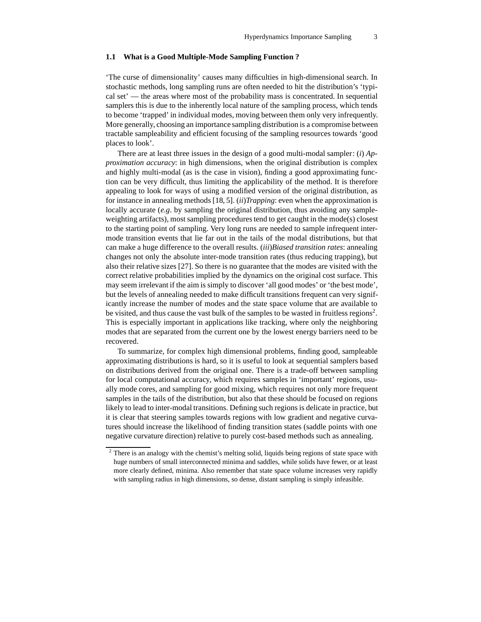#### **1.1 What is a Good Multiple-Mode Sampling Function ?**

'The curse of dimensionality' causes many difficulties in high-dimensional search. In stochastic methods, long sampling runs are often needed to hit the distribution's 'typical set' — the areas where most of the probability mass is concentrated. In sequential samplers this is due to the inherently local nature of the sampling process, which tends to become 'trapped' in individual modes, moving between them only very infrequently. More generally, choosing an importance sampling distribution is a compromise between tractable sampleability and efficient focusing of the sampling resources towards 'good places to look'.

There are at least three issues in the design of a good multi-modal sampler: (*i*) *Approximation accuracy*: in high dimensions, when the original distribution is complex and highly multi-modal (as is the case in vision), finding a good approximating function can be very difficult, thus limiting the applicability of the method. It is therefore appealing to look for ways of using a modified version of the original distribution, as for instance in annealing methods [18, 5]. (*ii*)*Trapping*: even when the approximation is locally accurate (*e.g.* by sampling the original distribution, thus avoiding any sampleweighting artifacts), most sampling procedures tend to get caught in the mode(s) closest to the starting point of sampling. Very long runs are needed to sample infrequent intermode transition events that lie far out in the tails of the modal distributions, but that can make a huge difference to the overall results. (*iii*)*Biased transition rates*: annealing changes not only the absolute inter-mode transition rates (thus reducing trapping), but also their relative sizes [27]. So there is no guarantee that the modes are visited with the correct relative probabilities implied by the dynamics on the original cost surface. This may seem irrelevant if the aim is simply to discover 'all good modes' or 'the best mode', but the levels of annealing needed to make difficult transitions frequent can very significantly increase the number of modes and the state space volume that are available to be visited, and thus cause the vast bulk of the samples to be wasted in fruitless regions<sup>2</sup>. This is especially important in applications like tracking, where only the neighboring modes that are separated from the current one by the lowest energy barriers need to be recovered.

To summarize, for complex high dimensional problems, finding good, sampleable approximating distributions is hard, so it is useful to look at sequential samplers based on distributions derived from the original one. There is a trade-off between sampling for local computational accuracy, which requires samples in 'important' regions, usually mode cores, and sampling for good mixing, which requires not only more frequent samples in the tails of the distribution, but also that these should be focused on regions likely to lead to inter-modal transitions. Defining such regions is delicate in practice, but it is clear that steering samples towards regions with low gradient and negative curvatures should increase the likelihood of finding transition states (saddle points with one negative curvature direction) relative to purely cost-based methods such as annealing.

<sup>&</sup>lt;sup>2</sup> There is an analogy with the chemist's melting solid, liquids being regions of state space with huge numbers of small interconnected minima and saddles, while solids have fewer, or at least more clearly defined, minima. Also remember that state space volume increases very rapidly with sampling radius in high dimensions, so dense, distant sampling is simply infeasible.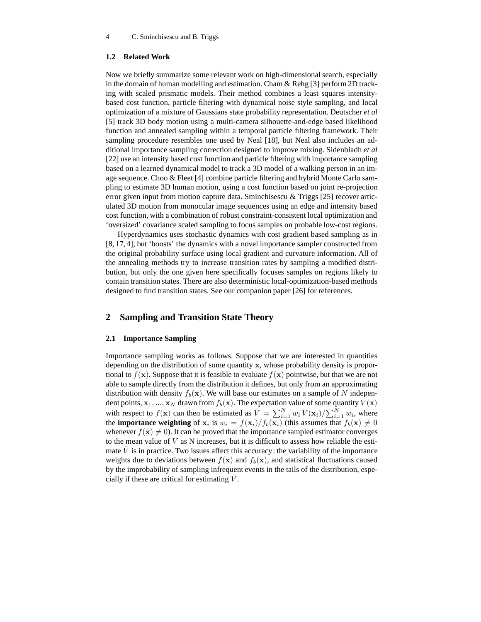#### **1.2 Related Work**

Now we briefly summarize some relevant work on high-dimensional search, especially in the domain of human modelling and estimation. Cham & Rehg [3] perform 2D tracking with scaled prismatic models. Their method combines a least squares intensitybased cost function, particle filtering with dynamical noise style sampling, and local optimization of a mixture of Gaussians state probability representation. Deutscher *et al* [5] track 3D body motion using a multi-camera silhouette-and-edge based likelihood function and annealed sampling within a temporal particle filtering framework. Their sampling procedure resembles one used by Neal [18], but Neal also includes an additional importance sampling correction designed to improve mixing. Sidenbladh *et al* [22] use an intensity based cost function and particle filtering with importance sampling based on a learned dynamical model to track a 3D model of a walking person in an image sequence. Choo & Fleet [4] combine particle filtering and hybrid Monte Carlo sampling to estimate 3D human motion, using a cost function based on joint re-projection error given input from motion capture data. Sminchisescu  $\&$  Triggs [25] recover articulated 3D motion from monocular image sequences using an edge and intensity based cost function, with a combination of robust constraint-consistent local optimization and 'oversized' covariance scaled sampling to focus samples on probable low-cost regions.

Hyperdynamics uses stochastic dynamics with cost gradient based sampling as in [8, 17, 4], but 'boosts' the dynamics with a novel importance sampler constructed from the original probability surface using local gradient and curvature information. All of the annealing methods try to increase transition rates by sampling a modified distribution, but only the one given here specifically focuses samples on regions likely to contain transition states. There are also deterministic local-optimization-based methods designed to find transition states. See our companion paper [26] for references.

# **2 Sampling and Transition State Theory**

#### **2.1 Importance Sampling**

Importance sampling works as follows. Suppose that we are interested in quantities depending on the distribution of some quantity **x**, whose probability density is proportional to  $f(\mathbf{x})$ . Suppose that it is feasible to evaluate  $f(\mathbf{x})$  pointwise, but that we are not able to sample directly from the distribution it defines, but only from an approximating distribution with density  $f_b(\mathbf{x})$ . We will base our estimates on a sample of N indepen-<br>dent points  $\mathbf{x}_i = \mathbf{x}_i$  drawn from  $f_i(\mathbf{x})$ . The expectation value of some quantity  $V(\mathbf{x})$ . dent points,  $\mathbf{x}_1, ..., \mathbf{x}_N$  drawn from  $f_b(\mathbf{x})$ . The expectation value of some quantity  $V(\mathbf{x})$ with respect to  $f(\mathbf{x})$  can then be estimated as  $\overline{V} = \sum_{i=1}^{N} w_i V(\mathbf{x}_i) / \sum_{i=1}^{N} w_i$ , where the **importance weighting** of  $\mathbf{x}_i$  is  $w_i = f(\mathbf{x}_i)/f_b(\mathbf{x}_i)$  (this assumes that  $f_b(\mathbf{x}) \neq 0$ ) whenever  $f(\mathbf{x}) \neq 0$ ) It can be proved that the importance sampled estimator converges whenever  $f(\mathbf{x}) \neq 0$ ). It can be proved that the importance sampled estimator converges to the mean value of  $V$  as N increases, but it is difficult to assess how reliable the estimate  $V$  is in practice. Two issues affect this accuracy: the variability of the importance weights due to deviations between  $f(\mathbf{x})$  and  $f_b(\mathbf{x})$ , and statistical fluctuations caused by the improbability of sampling infrequent events in the tails of the distribution, especially if these are critical for estimating  $\bar{V}$ .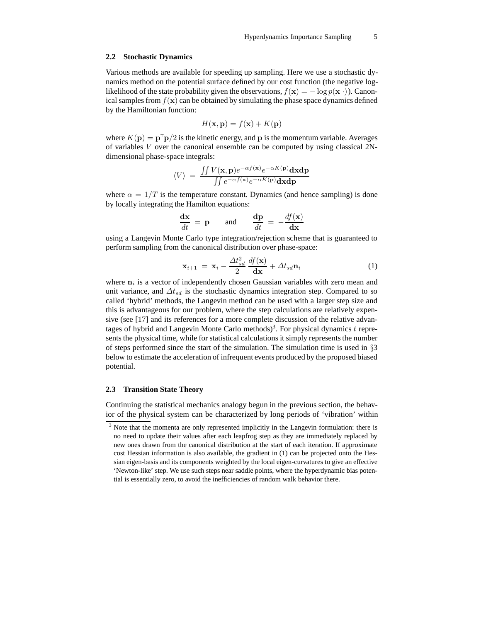#### **2.2 Stochastic Dynamics**

Various methods are available for speeding up sampling. Here we use a stochastic dynamics method on the potential surface defined by our cost function (the negative loglikelihood of the state probability given the observations,  $f(\mathbf{x}) = -\log p(\mathbf{x}|\cdot)$ ). Canonical samples from  $f(\mathbf{x})$  can be obtained by simulating the phase space dynamics defined by the Hamiltonian function:

$$
H(\mathbf{x}, \mathbf{p}) = f(\mathbf{x}) + K(\mathbf{p})
$$

where  $K(\mathbf{p}) = \mathbf{p}^{\top} \mathbf{p}/2$  is the kinetic energy, and **p** is the momentum variable. Averages of variables V over the canonical ensemble can be computed by using classical 2Ndimensional phase-space integrals:

$$
\langle V \rangle \ = \ \frac{\int \int V(\mathbf{x}, \mathbf{p}) e^{-\alpha f(\mathbf{x})} e^{-\alpha K(\mathbf{p})} \mathbf{d} \mathbf{x} \mathbf{d} \mathbf{p}}{\int \int e^{-\alpha f(\mathbf{x})} e^{-\alpha K(\mathbf{p})} \mathbf{d} \mathbf{x} \mathbf{d} \mathbf{p}}
$$

where  $\alpha = 1/T$  is the temperature constant. Dynamics (and hence sampling) is done by locally integrating the Hamilton equations:

$$
\frac{\mathbf{dx}}{dt} = \mathbf{p} \quad \text{and} \quad \frac{\mathbf{dp}}{dt} = -\frac{df(\mathbf{x})}{\mathbf{dx}}
$$

using a Langevin Monte Carlo type integration/rejection scheme that is guaranteed to perform sampling from the canonical distribution over phase-space:

$$
\mathbf{x}_{i+1} = \mathbf{x}_i - \frac{\Delta t_{sd}^2}{2} \frac{df(\mathbf{x})}{d\mathbf{x}} + \Delta t_{sd} \mathbf{n}_i
$$
 (1)

where  $n_i$  is a vector of independently chosen Gaussian variables with zero mean and unit variance, and  $\Delta t_{sd}$  is the stochastic dynamics integration step. Compared to so called 'hybrid' methods, the Langevin method can be used with a larger step size and this is advantageous for our problem, where the step calculations are relatively expensive (see [17] and its references for a more complete discussion of the relative advantages of hybrid and Langevin Monte Carlo methods)<sup>3</sup>. For physical dynamics  $t$  represents the physical time, while for statistical calculations it simply represents the number of steps performed since the start of the simulation. The simulation time is used in §3 below to estimate the acceleration of infrequent events produced by the proposed biased potential.

#### **2.3 Transition State Theory**

Continuing the statistical mechanics analogy begun in the previous section, the behavior of the physical system can be characterized by long periods of 'vibration' within

<sup>&</sup>lt;sup>3</sup> Note that the momenta are only represented implicitly in the Langevin formulation: there is no need to update their values after each leapfrog step as they are immediately replaced by new ones drawn from the canonical distribution at the start of each iteration. If approximate cost Hessian information is also available, the gradient in (1) can be projected onto the Hessian eigen-basis and its components weighted by the local eigen-curvatures to give an effective 'Newton-like' step. We use such steps near saddle points, where the hyperdynamic bias potential is essentially zero, to avoid the inefficiencies of random walk behavior there.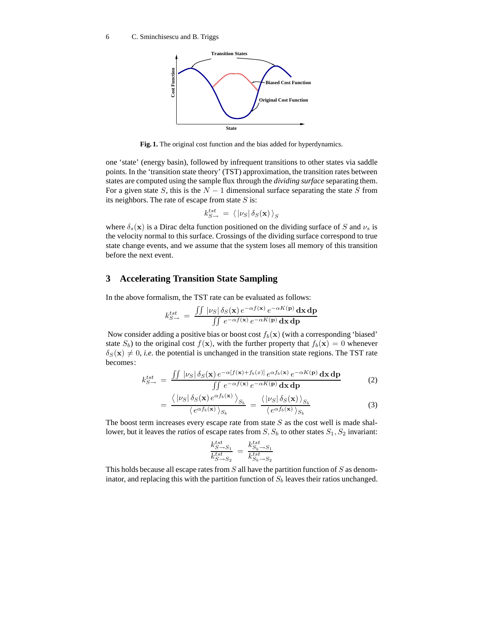

**Fig. 1.** The original cost function and the bias added for hyperdynamics.

one 'state' (energy basin), followed by infrequent transitions to other states via saddle points. In the 'transition state theory' (TST) approximation, the transition rates between states are computed using the sample flux through the *dividing surface* separating them. For a given state S, this is the  $N-1$  dimensional surface separating the state S from its neighbors. The rate of escape from state  $S$  is:

$$
k_{S\rightarrow}^{tst} = \langle |\nu_S| \delta_S(\mathbf{x}) \rangle_S
$$

where  $\delta_s(\mathbf{x})$  is a Dirac delta function positioned on the dividing surface of S and  $\nu_s$  is the velocity normal to this surface. Crossings of the dividing surface correspond to true state change events, and we assume that the system loses all memory of this transition before the next event.

# **3 Accelerating Transition State Sampling**

In the above formalism, the TST rate can be evaluated as follows:

$$
k_{S\rightarrow}^{tst} = \frac{\iint |\nu_S| \delta_S(\mathbf{x}) e^{-\alpha f(\mathbf{x})} e^{-\alpha K(\mathbf{p})} d\mathbf{x} d\mathbf{p}}{\iint e^{-\alpha f(\mathbf{x})} e^{-\alpha K(\mathbf{p})} d\mathbf{x} d\mathbf{p}}
$$

Now consider adding a positive bias or boost cost  $f_b(\mathbf{x})$  (with a corresponding 'biased' state  $S_b$ ) to the original cost  $f(\mathbf{x})$ , with the further property that  $f_b(\mathbf{x})=0$  whenever  $\delta_S(\mathbf{x}) \neq 0$ , *i.e.* the potential is unchanged in the transition state regions. The TST rate becomes:

$$
k_{S \to}^{tst} = \frac{\iint |\nu_S| \delta_S(\mathbf{x}) e^{-\alpha [f(\mathbf{x}) + f_b(x)]} e^{\alpha f_b(\mathbf{x})} e^{-\alpha K(\mathbf{p})} d\mathbf{x} d\mathbf{p}}{\iint e^{-\alpha f(\mathbf{x})} e^{-\alpha K(\mathbf{p})} d\mathbf{x} d\mathbf{p}}
$$
(2)

$$
= \frac{\langle |\nu_{S}| \delta_{S}(\mathbf{x}) e^{\alpha f_{b}(\mathbf{x})} \rangle_{S_{b}}}{\langle e^{\alpha f_{b}(\mathbf{x})} \rangle_{S_{b}}} = \frac{\langle |\nu_{S}| \delta_{S}(\mathbf{x}) \rangle_{S_{b}}}{\langle e^{\alpha f_{b}(\mathbf{x})} \rangle_{S_{b}}}
$$
(3)

The boost term increases every escape rate from state  $S$  as the cost well is made shallower, but it leaves the *ratios* of escape rates from  $S$ ,  $S_b$  to other states  $S_1$ ,  $S_2$  invariant:

$$
\frac{k_{S \rightarrow S_1}^{tst}}{k_{S \rightarrow S_2}^{tst}} \,=\, \frac{k_{S_b \rightarrow S_1}^{tst}}{k_{S_b \rightarrow S_2}^{tst}}
$$

This holds because all escape rates from  $S$  all have the partition function of  $S$  as denominator, and replacing this with the partition function of  $S_b$  leaves their ratios unchanged.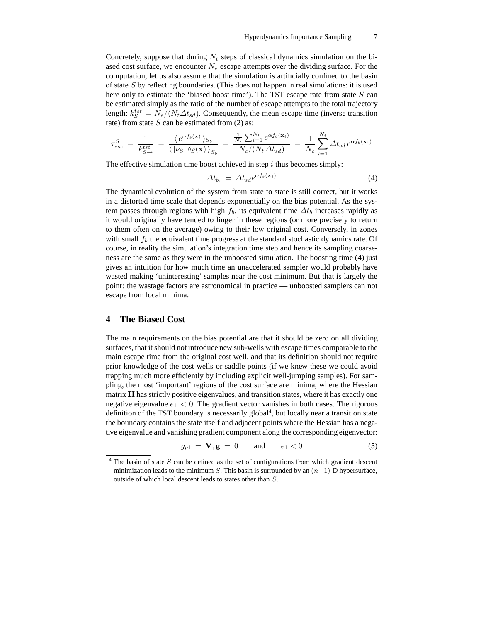Concretely, suppose that during  $N_t$  steps of classical dynamics simulation on the biased cost surface, we encounter  $N_e$  escape attempts over the dividing surface. For the computation, let us also assume that the simulation is artificially confined to the basin of state S by reflecting boundaries. (This does not happen in real simulations: it is used here only to estimate the 'biased boost time'). The TST escape rate from state  $S$  can be estimated simply as the ratio of the number of escape attempts to the total trajectory length:  $k_S^{tst} = \frac{\dot{N_e}}{N_e}$  ( $N_t \Delta t_{sd}$ ). Consequently, the mean escape time (inverse transition rate) from state S can be estimated from (2) as: rate) from state  $S$  can be estimated from (2) as:

$$
\tau_{esc}^{S} = \frac{1}{k_{S\rightarrow}^{tst}} = \frac{\langle e^{\alpha f_b(\mathbf{x})} \rangle_{S_b}}{\langle |\nu_S| \delta_S(\mathbf{x}) \rangle_{S_b}} = \frac{\frac{1}{N_t} \sum_{i=1}^{N_t} e^{\alpha f_b(\mathbf{x}_i)}}{N_e/(N_t \Delta t_{sd})} = \frac{1}{N_e} \sum_{i=1}^{N_t} \Delta t_{sd} e^{\alpha f_b(\mathbf{x}_i)}
$$

The effective simulation time boost achieved in step  $i$  thus becomes simply:

$$
\Delta t_{b_i} = \Delta t_{sd} e^{\alpha f_b(\mathbf{x}_i)} \tag{4}
$$

The dynamical evolution of the system from state to state is still correct, but it works in a distorted time scale that depends exponentially on the bias potential. As the system passes through regions with high  $f_b$ , its equivalent time  $\Delta t_b$  increases rapidly as it would originally have tended to linger in these regions (or more precisely to return to them often on the average) owing to their low original cost. Conversely, in zones with small  $f<sub>b</sub>$  the equivalent time progress at the standard stochastic dynamics rate. Of course, in reality the simulation's integration time step and hence its sampling coarseness are the same as they were in the unboosted simulation. The boosting time (4) just gives an intuition for how much time an unaccelerated sampler would probably have wasted making 'uninteresting' samples near the cost minimum. But that is largely the point: the wastage factors are astronomical in practice — unboosted samplers can not escape from local minima.

### **4 The Biased Cost**

The main requirements on the bias potential are that it should be zero on all dividing surfaces, that it should not introduce new sub-wells with escape times comparable to the main escape time from the original cost well, and that its definition should not require prior knowledge of the cost wells or saddle points (if we knew these we could avoid trapping much more efficiently by including explicit well-jumping samples). For sampling, the most 'important' regions of the cost surface are minima, where the Hessian matrix **H** has strictly positive eigenvalues, and transition states, where it has exactly one negative eigenvalue  $e_1 < 0$ . The gradient vector vanishes in both cases. The rigorous definition of the TST boundary is necessarily global<sup>4</sup>, but locally near a transition state the boundary contains the state itself and adjacent points where the Hessian has a negative eigenvalue and vanishing gradient component along the corresponding eigenvector:

$$
g_{p1} = \mathbf{V}_1^{\mathsf{T}} \mathbf{g} = 0 \quad \text{and} \quad e_1 < 0 \tag{5}
$$

 $4$  The basin of state  $S$  can be defined as the set of configurations from which gradient descent minimization leads to the minimum S. This basin is surrounded by an  $(n-1)$ -D hypersurface, outside of which local descent leads to states other than S.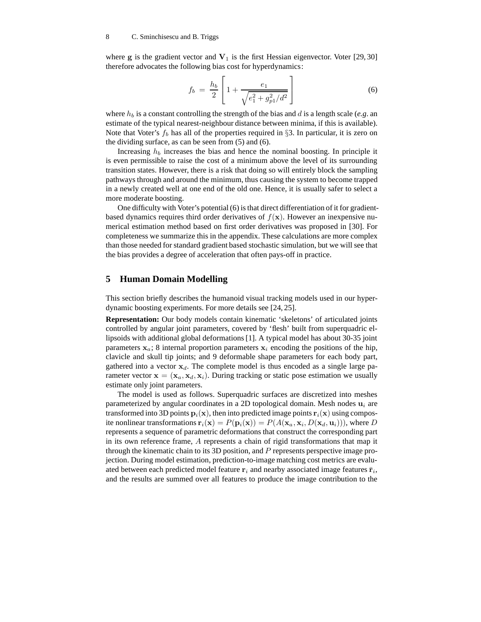#### 8 C. Sminchisescu and B. Triggs

where **g** is the gradient vector and  $V_1$  is the first Hessian eigenvector. Voter [29, 30] therefore advocates the following bias cost for hyperdynamics:

$$
f_b = \frac{h_b}{2} \left[ 1 + \frac{e_1}{\sqrt{e_1^2 + g_{p1}^2/d^2}} \right]
$$
 (6)

where  $h_b$  is a constant controlling the strength of the bias and d is a length scale (*e.g.* an estimate of the typical nearest-neighbour distance between minima, if this is available). Note that Voter's  $f_b$  has all of the properties required in §3. In particular, it is zero on the dividing surface, as can be seen from (5) and (6).

Increasing  $h_b$  increases the bias and hence the nominal boosting. In principle it is even permissible to raise the cost of a minimum above the level of its surrounding transition states. However, there is a risk that doing so will entirely block the sampling pathways through and around the minimum, thus causing the system to become trapped in a newly created well at one end of the old one. Hence, it is usually safer to select a more moderate boosting.

One difficulty with Voter's potential (6) is that direct differentiation of it for gradientbased dynamics requires third order derivatives of  $f(\mathbf{x})$ . However an inexpensive numerical estimation method based on first order derivatives was proposed in [30]. For completeness we summarize this in the appendix. These calculations are more complex than those needed for standard gradient based stochastic simulation, but we will see that the bias provides a degree of acceleration that often pays-off in practice.

## **5 Human Domain Modelling**

This section briefly describes the humanoid visual tracking models used in our hyperdynamic boosting experiments. For more details see [24, 25].

**Representation:** Our body models contain kinematic 'skeletons' of articulated joints controlled by angular joint parameters, covered by 'flesh' built from superquadric ellipsoids with additional global deformations [1]. A typical model has about 30-35 joint parameters  $x_a$ ; 8 internal proportion parameters  $x_i$  encoding the positions of the hip, clavicle and skull tip joints; and 9 deformable shape parameters for each body part, gathered into a vector  $x_d$ . The complete model is thus encoded as a single large parameter vector  $\mathbf{x} = (\mathbf{x}_a, \mathbf{x}_d, \mathbf{x}_i)$ . During tracking or static pose estimation we usually estimate only joint parameters.

The model is used as follows. Superquadric surfaces are discretized into meshes parameterized by angular coordinates in a 2D topological domain. Mesh nodes **u**<sup>i</sup> are transformed into 3D points  $\mathbf{p}_i(\mathbf{x})$ , then into predicted image points  $\mathbf{r}_i(\mathbf{x})$  using composite nonlinear transformations  $\mathbf{r}_i(\mathbf{x}) = P(\mathbf{p}_i(\mathbf{x})) = P(A(\mathbf{x}_a, \mathbf{x}_i, D(\mathbf{x}_d, \mathbf{u}_i)))$ , where D represents a sequence of parametric deformations that construct the corresponding part in its own reference frame, A represents a chain of rigid transformations that map it through the kinematic chain to its 3D position, and P represents perspective image projection. During model estimation, prediction-to-image matching cost metrics are evaluated between each predicted model feature  $\mathbf{r}_i$  and nearby associated image features  $\mathbf{\bar{r}}_i$ , and the results are summed over all features to produce the image contribution to the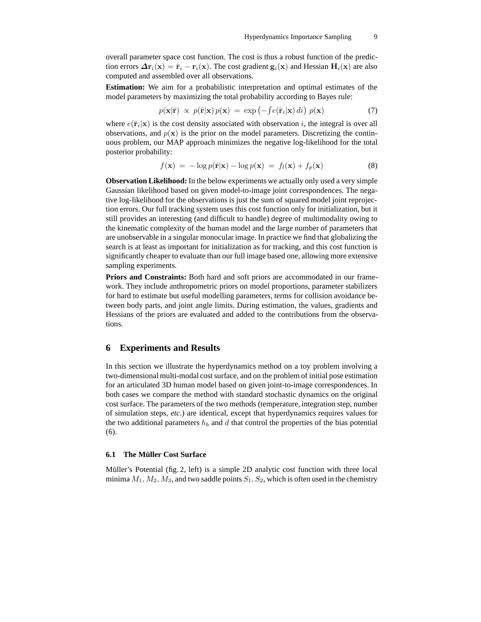overall parameter space cost function. The cost is thus a robust function of the prediction errors  $\Delta \mathbf{r}_i(\mathbf{x}) = \bar{\mathbf{r}}_i - \mathbf{r}_i(\mathbf{x})$ . The cost gradient  $\mathbf{g}_i(\mathbf{x})$  and Hessian  $\mathbf{H}_i(\mathbf{x})$  are also computed and assembled over all observations.

**Estimation:** We aim for a probabilistic interpretation and optimal estimates of the model parameters by maximizing the total probability according to Bayes rule:

$$
p(\mathbf{x}|\bar{\mathbf{r}}) \propto p(\bar{\mathbf{r}}|\mathbf{x})p(\mathbf{x}) = \exp(-\int e(\bar{\mathbf{r}}_i|\mathbf{x}) di) p(\mathbf{x}) \tag{7}
$$

where  $e(\bar{\bf r}_i|{\bf x})$  is the cost density associated with observation i, the integral is over all observations, and  $p(x)$  is the prior on the model parameters. Discretizing the continuous problem, our MAP approach minimizes the negative log-likelihood for the total posterior probability:

$$
f(\mathbf{x}) = -\log p(\bar{\mathbf{r}}|\mathbf{x}) - \log p(\mathbf{x}) = f_l(\mathbf{x}) + f_p(\mathbf{x})
$$
\n(8)

**Observation Likelihood:** In the below experiments we actually only used a very simple Gaussian likelihood based on given model-to-image joint correspondences. The negative log-likelihood for the observations is just the sum of squared model joint reprojection errors. Our full tracking system uses this cost function only for initialization, but it still provides an interesting (and difficult to handle) degree of multimodality owing to the kinematic complexity of the human model and the large number of parameters that are unobservable in a singular monocular image. In practice we find that globalizing the search is at least as important for initialization as for tracking, and this cost function is significantly cheaper to evaluate than our full image based one, allowing more extensive sampling experiments.

**Priors and Constraints:** Both hard and soft priors are accommodated in our framework. They include anthropometric priors on model proportions, parameter stabilizers for hard to estimate but useful modelling parameters, terms for collision avoidance between body parts, and joint angle limits. During estimation, the values, gradients and Hessians of the priors are evaluated and added to the contributions from the observations.

#### **6 Experiments and Results**

In this section we illustrate the hyperdynamics method on a toy problem involving a two-dimensional multi-modal cost surface, and on the problem of initial pose estimation for an articulated 3D human model based on given joint-to-image correspondences. In both cases we compare the method with standard stochastic dynamics on the original cost surface. The parameters of the two methods (temperature, integration step, number of simulation steps, *etc*.) are identical, except that hyperdynamics requires values for the two additional parameters  $h_b$  and d that control the properties of the bias potential (6).

#### **6.1 The Müller Cost Surface**

Müller's Potential (fig. 2, left) is a simple 2D analytic cost function with three local minima  $M_1, M_2, M_3$ , and two saddle points  $S_1, S_2$ , which is often used in the chemistry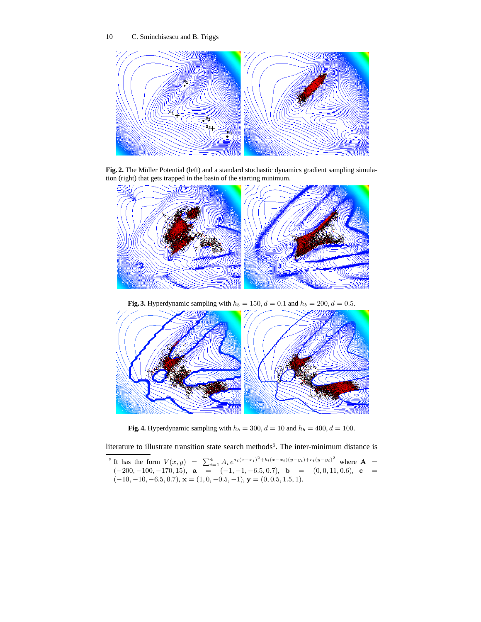

Fig. 2. The Müller Potential (left) and a standard stochastic dynamics gradient sampling simulation (right) that gets trapped in the basin of the starting minimum.



**Fig. 3.** Hyperdynamic sampling with  $h_b = 150$ ,  $d = 0.1$  and  $h_b = 200$ ,  $d = 0.5$ .



**Fig. 4.** Hyperdynamic sampling with  $h_b = 300$ ,  $d = 10$  and  $h_b = 400$ ,  $d = 100$ .

literature to illustrate transition state search methods<sup>5</sup>. The inter-minimum distance is

<sup>&</sup>lt;sup>5</sup> It has the form  $V(x,y) = \sum_{i=1}^{4} A_i e^{a_i(x-x_i)^2 + b_i(x-x_i)(y-y_i) + c_i(y-y_i)^2}$  where **A** =  $(-200, -100, -170, 15)$ , **a**  $\overline{=}$   $(-1, -1, -6.5, 0.7)$ , **b** =  $(0, 0, 11, 0.6)$ , **c** =  $(-10, -10, -6.5, 0.7),$   $\mathbf{x} = (1, 0, -0.5, -1),$   $\mathbf{y} = (0, 0.5, 1.5, 1).$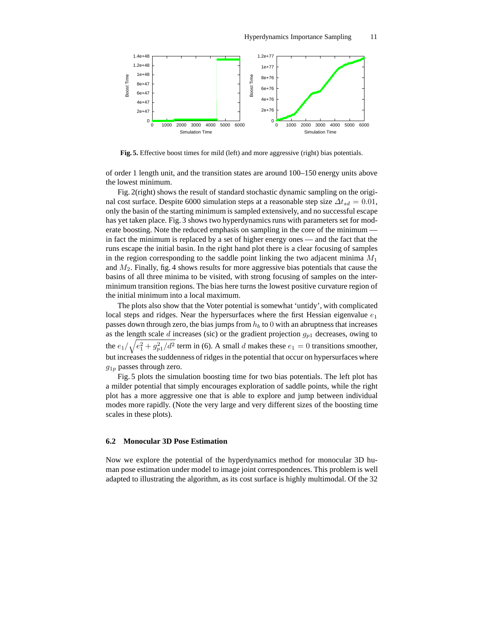

**Fig. 5.** Effective boost times for mild (left) and more aggressive (right) bias potentials.

of order 1 length unit, and the transition states are around 100–150 energy units above the lowest minimum.

Fig. 2(right) shows the result of standard stochastic dynamic sampling on the original cost surface. Despite 6000 simulation steps at a reasonable step size  $\Delta t_{sd} = 0.01$ , only the basin of the starting minimum is sampled extensively, and no successful escape has yet taken place. Fig. 3 shows two hyperdynamics runs with parameters set for moderate boosting. Note the reduced emphasis on sampling in the core of the minimum in fact the minimum is replaced by a set of higher energy ones — and the fact that the runs escape the initial basin. In the right hand plot there is a clear focusing of samples in the region corresponding to the saddle point linking the two adjacent minima  $M_1$ and  $M_2$ . Finally, fig. 4 shows results for more aggressive bias potentials that cause the basins of all three minima to be visited, with strong focusing of samples on the interminimum transition regions. The bias here turns the lowest positive curvature region of the initial minimum into a local maximum.

The plots also show that the Voter potential is somewhat 'untidy', with complicated local steps and ridges. Near the hypersurfaces where the first Hessian eigenvalue  $e_1$ passes down through zero, the bias jumps from  $h_b$  to 0 with an abruptness that increases as the length scale d increases (sic) or the gradient projection  $g_{p1}$  decreases, owing to the  $e_1/\sqrt{e_1^2 + g_{p1}^2/d^2}$  term in (6). A small d makes these  $e_1 = 0$  transitions smoother, but increases the suddenness of ridges in the potential that occur on hypersurfaces where  $g_{1p}$  passes through zero.

Fig. 5 plots the simulation boosting time for two bias potentials. The left plot has a milder potential that simply encourages exploration of saddle points, while the right plot has a more aggressive one that is able to explore and jump between individual modes more rapidly. (Note the very large and very different sizes of the boosting time scales in these plots).

#### **6.2 Monocular 3D Pose Estimation**

Now we explore the potential of the hyperdynamics method for monocular 3D human pose estimation under model to image joint correspondences. This problem is well adapted to illustrating the algorithm, as its cost surface is highly multimodal. Of the 32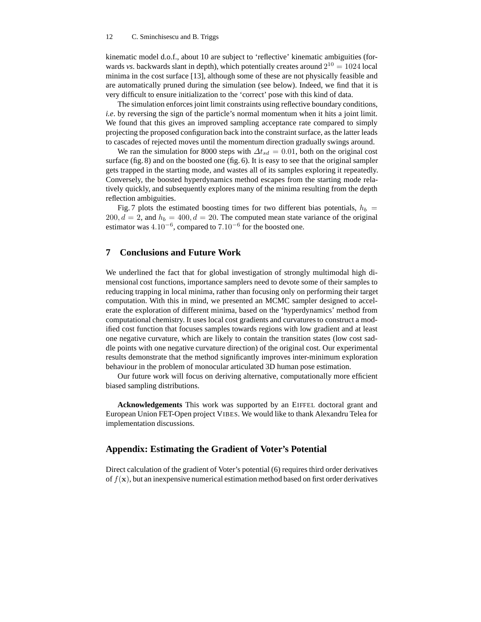#### 12 C. Sminchisescu and B. Triggs

kinematic model d.o.f., about 10 are subject to 'reflective' kinematic ambiguities (forwards *vs*. backwards slant in depth), which potentially creates around  $2^{10} = 1024$  local minima in the cost surface [13], although some of these are not physically feasible and are automatically pruned during the simulation (see below). Indeed, we find that it is very difficult to ensure initialization to the 'correct' pose with this kind of data.

The simulation enforces joint limit constraints using reflective boundary conditions, *i.e.* by reversing the sign of the particle's normal momentum when it hits a joint limit. We found that this gives an improved sampling acceptance rate compared to simply projecting the proposed configuration back into the constraint surface, as the latter leads to cascades of rejected moves until the momentum direction gradually swings around.

We ran the simulation for 8000 steps with  $\Delta t_{sd} = 0.01$ , both on the original cost surface (fig. 8) and on the boosted one (fig. 6). It is easy to see that the original sampler gets trapped in the starting mode, and wastes all of its samples exploring it repeatedly. Conversely, the boosted hyperdynamics method escapes from the starting mode relatively quickly, and subsequently explores many of the minima resulting from the depth reflection ambiguities.

Fig. 7 plots the estimated boosting times for two different bias potentials,  $h_b =$  $200, d = 2$ , and  $h_b = 400, d = 20$ . The computed mean state variance of the original estimator was  $4.10^{-6}$ , compared to  $7.10^{-6}$  for the boosted one.

# **7 Conclusions and Future Work**

We underlined the fact that for global investigation of strongly multimodal high dimensional cost functions, importance samplers need to devote some of their samples to reducing trapping in local minima, rather than focusing only on performing their target computation. With this in mind, we presented an MCMC sampler designed to accelerate the exploration of different minima, based on the 'hyperdynamics' method from computational chemistry. It uses local cost gradients and curvatures to construct a modified cost function that focuses samples towards regions with low gradient and at least one negative curvature, which are likely to contain the transition states (low cost saddle points with one negative curvature direction) of the original cost. Our experimental results demonstrate that the method significantly improves inter-minimum exploration behaviour in the problem of monocular articulated 3D human pose estimation.

Our future work will focus on deriving alternative, computationally more efficient biased sampling distributions.

**Acknowledgements** This work was supported by an EIFFEL doctoral grant and European Union FET-Open project VIBES. We would like to thank Alexandru Telea for implementation discussions.

# **Appendix: Estimating the Gradient of Voter's Potential**

Direct calculation of the gradient of Voter's potential (6) requires third order derivatives of  $f(\mathbf{x})$ , but an inexpensive numerical estimation method based on first order derivatives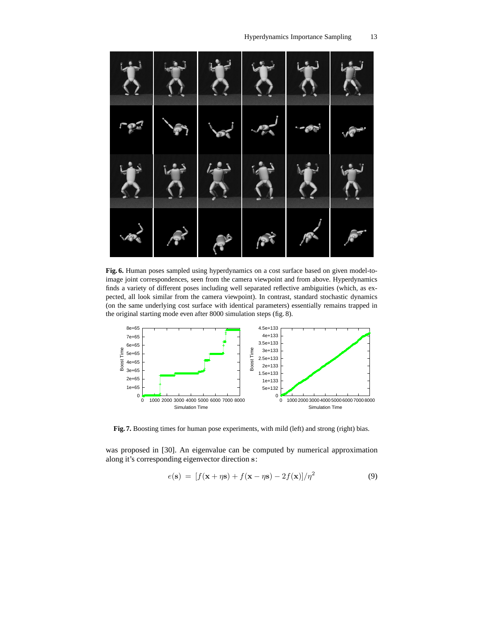

**Fig. 6.** Human poses sampled using hyperdynamics on a cost surface based on given model-toimage joint correspondences, seen from the camera viewpoint and from above. Hyperdynamics finds a variety of different poses including well separated reflective ambiguities (which, as expected, all look similar from the camera viewpoint). In contrast, standard stochastic dynamics (on the same underlying cost surface with identical parameters) essentially remains trapped in the original starting mode even after 8000 simulation steps (fig. 8).



Fig. 7. Boosting times for human pose experiments, with mild (left) and strong (right) bias.

was proposed in [30]. An eigenvalue can be computed by numerical approximation along it's corresponding eigenvector direction **s**:

$$
e(\mathbf{s}) = [f(\mathbf{x} + \eta \mathbf{s}) + f(\mathbf{x} - \eta \mathbf{s}) - 2f(\mathbf{x})]/\eta^2 \tag{9}
$$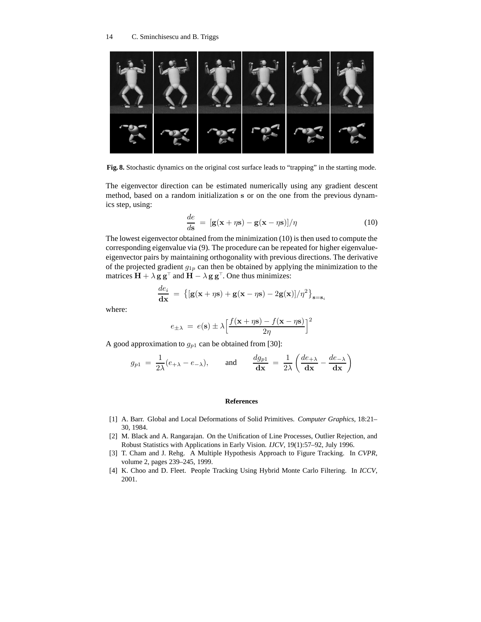

**Fig. 8.** Stochastic dynamics on the original cost surface leads to "trapping" in the starting mode.

The eigenvector direction can be estimated numerically using any gradient descent method, based on a random initialization **s** or on the one from the previous dynamics step, using:

$$
\frac{de}{ds} = \left[ \mathbf{g}(\mathbf{x} + \eta \mathbf{s}) - \mathbf{g}(\mathbf{x} - \eta \mathbf{s}) \right] / \eta \tag{10}
$$

The lowest eigenvector obtained from the minimization (10) is then used to compute the corresponding eigenvalue via (9). The procedure can be repeated for higher eigenvalueeigenvector pairs by maintaining orthogonality with previous directions. The derivative of the projected gradient  $g_{1p}$  can then be obtained by applying the minimization to the matrices  $\mathbf{H} + \lambda \mathbf{g} \mathbf{g}^{\top}$  and  $\mathbf{H} - \lambda \mathbf{g} \mathbf{g}^{\top}$ . One thus minimizes:

$$
\frac{de_i}{dx} = \left\{ \left[ g(x + \eta s) + g(x - \eta s) - 2g(x) \right] / \eta^2 \right\}_{s=s_i}
$$

where:

$$
e_{\pm\lambda} = e(\mathbf{s}) \pm \lambda \left[ \frac{f(\mathbf{x} + \eta \mathbf{s}) - f(\mathbf{x} - \eta \mathbf{s})}{2\eta} \right]^2
$$

A good approximation to  $g_{p1}$  can be obtained from [30]:

$$
g_{p1} = \frac{1}{2\lambda}(e_{+\lambda} - e_{-\lambda}),
$$
 and  $\frac{dg_{p1}}{dx} = \frac{1}{2\lambda}\left(\frac{de_{+\lambda}}{dx} - \frac{de_{-\lambda}}{dx}\right)$ 

#### **References**

- [1] A. Barr. Global and Local Deformations of Solid Primitives. *Computer Graphics*, 18:21– 30, 1984.
- [2] M. Black and A. Rangarajan. On the Unification of Line Processes, Outlier Rejection, and Robust Statistics with Applications in Early Vision. *IJCV*, 19(1):57–92, July 1996.
- [3] T. Cham and J. Rehg. A Multiple Hypothesis Approach to Figure Tracking. In *CVPR*, volume 2, pages 239–245, 1999.
- [4] K. Choo and D. Fleet. People Tracking Using Hybrid Monte Carlo Filtering. In *ICCV*, 2001.